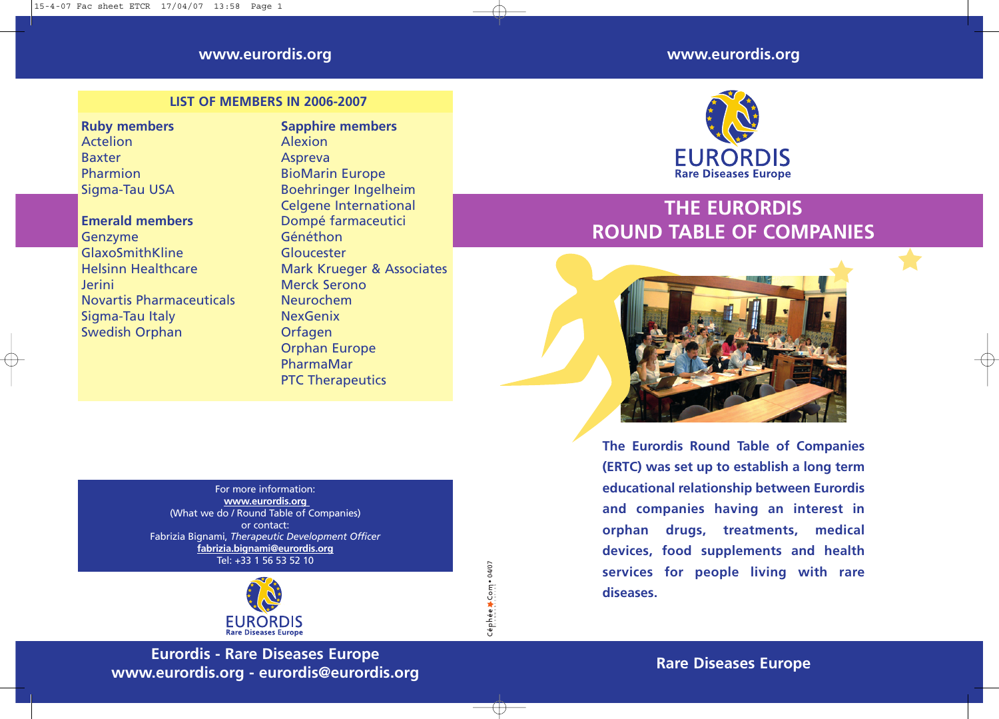### **www.eurordis.org**

### **LIST OF MEMBERS IN 2006-2007**

### **Ruby members**

Actelion Baxter Pharmion Sigma-Tau USA

### **Emerald members**

Genzyme GlaxoSmithKline Helsinn Healthcare Jerini Novartis Pharmaceuticals Sigma-Tau Italy Swedish Orphan

**Sapphire members** Alexion Aspreva BioMarin Europe Boehringer Ingelheim Celgene International Dompé farmaceutici Généthon Gloucester Mark Krueger & Associates Merck Serono Neurochem NexGenix Orfagen Orphan Europe PharmaMar PTC Therapeutics

> COMMUNICATION Céphée > Com • 04/07

For more information: **www.eurordis.org**  (What we do / Round Table of Companies) or contact: Fabrizia Bignami, *Therapeutic Development Officer* **fabrizia.bignami@eurordis.org** Tel: +33 1 56 53 52 10



**Eurordis - Rare Diseases Europe www.eurordis.org - eurordis@eurordis.org**

## **www.eurordis.org**



# **THE EURORDIS ROUND TABLE OF COMPANIES**



**The Eurordis Round Table of Companies (ERTC) was set up to establish a long term educational relationship between Eurordis and companies having an interest in orphan drugs, treatments, medical devices, food supplements and health services for people living with rare diseases.**

**Rare Diseases Europe**